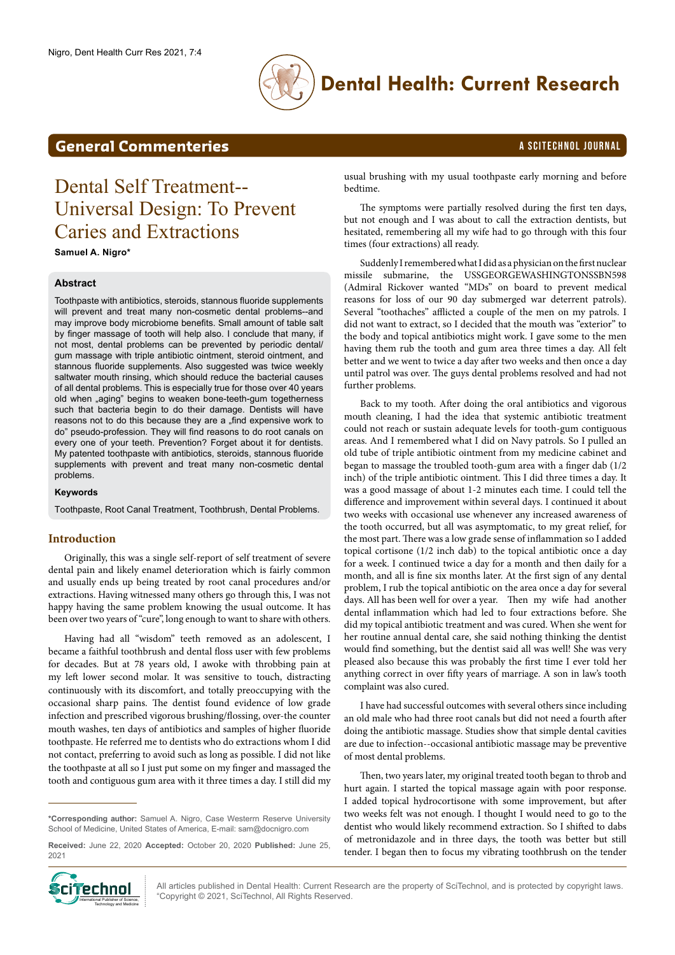

bedtime.

## **Dental Health: Current Research**

### **General Commenteries** A SCITECHNOL JOURNAL

# Dental Self Treatment-- Universal Design: To Prevent Caries and Extractions

**Samuel A. Nigro\***

#### **Abstract**

Toothpaste with antibiotics, steroids, stannous fluoride supplements will prevent and treat many non-cosmetic dental problems--and may improve body microbiome benefits. Small amount of table salt by finger massage of tooth will help also. I conclude that many, if not most, dental problems can be prevented by periodic dental/ gum massage with triple antibiotic ointment, steroid ointment, and stannous fluoride supplements. Also suggested was twice weekly saltwater mouth rinsing, which should reduce the bacterial causes of all dental problems. This is especially true for those over 40 years old when "aging" begins to weaken bone-teeth-gum togetherness such that bacteria begin to do their damage. Dentists will have reasons not to do this because they are a "find expensive work to do" pseudo-profession. They will find reasons to do root canals on every one of your teeth. Prevention? Forget about it for dentists. My patented toothpaste with antibiotics, steroids, stannous fluoride supplements with prevent and treat many non-cosmetic dental problems.

#### **Keywords**

Toothpaste, Root Canal Treatment, Toothbrush, Dental Problems.

### **Introduction**

Originally, this was a single self-report of self treatment of severe dental pain and likely enamel deterioration which is fairly common and usually ends up being treated by root canal procedures and/or extractions. Having witnessed many others go through this, I was not happy having the same problem knowing the usual outcome. It has been over two years of "cure", long enough to want to share with others.

Having had all "wisdom" teeth removed as an adolescent, I became a faithful toothbrush and dental floss user with few problems for decades. But at 78 years old, I awoke with throbbing pain at my left lower second molar. It was sensitive to touch, distracting continuously with its discomfort, and totally preoccupying with the occasional sharp pains. The dentist found evidence of low grade infection and prescribed vigorous brushing/flossing, over-the counter mouth washes, ten days of antibiotics and samples of higher fluoride toothpaste. He referred me to dentists who do extractions whom I did not contact, preferring to avoid such as long as possible. I did not like the toothpaste at all so I just put some on my finger and massaged the tooth and contiguous gum area with it three times a day. I still did my

**\*Corresponding author:** Samuel A. Nigro, Case Westerrn Reserve University School of Medicine, United States of America, E-mail: sam@docnigro.com

**Received:** June 22, 2020 **Accepted:** October 20, 2020 **Published:** June 25, 2021



hesitated, remembering all my wife had to go through with this four times (four extractions) all ready. Suddenly I remembered what I did as a physician on the first nuclear

usual brushing with my usual toothpaste early morning and before

The symptoms were partially resolved during the first ten days, but not enough and I was about to call the extraction dentists, but

missile submarine, the USSGEORGEWASHINGTONSSBN598 (Admiral Rickover wanted "MDs" on board to prevent medical reasons for loss of our 90 day submerged war deterrent patrols). Several "toothaches" afflicted a couple of the men on my patrols. I did not want to extract, so I decided that the mouth was "exterior" to the body and topical antibiotics might work. I gave some to the men having them rub the tooth and gum area three times a day. All felt better and we went to twice a day after two weeks and then once a day until patrol was over. The guys dental problems resolved and had not further problems.

Back to my tooth. After doing the oral antibiotics and vigorous mouth cleaning, I had the idea that systemic antibiotic treatment could not reach or sustain adequate levels for tooth-gum contiguous areas. And I remembered what I did on Navy patrols. So I pulled an old tube of triple antibiotic ointment from my medicine cabinet and began to massage the troubled tooth-gum area with a finger dab (1/2 inch) of the triple antibiotic ointment. This I did three times a day. It was a good massage of about 1-2 minutes each time. I could tell the difference and improvement within several days. I continued it about two weeks with occasional use whenever any increased awareness of the tooth occurred, but all was asymptomatic, to my great relief, for the most part. There was a low grade sense of inflammation so I added topical cortisone (1/2 inch dab) to the topical antibiotic once a day for a week. I continued twice a day for a month and then daily for a month, and all is fine six months later. At the first sign of any dental problem, I rub the topical antibiotic on the area once a day for several days. All has been well for over a year. Then my wife had another dental inflammation which had led to four extractions before. She did my topical antibiotic treatment and was cured. When she went for her routine annual dental care, she said nothing thinking the dentist would find something, but the dentist said all was well! She was very pleased also because this was probably the first time I ever told her anything correct in over fifty years of marriage. A son in law's tooth complaint was also cured.

I have had successful outcomes with several others since including an old male who had three root canals but did not need a fourth after doing the antibiotic massage. Studies show that simple dental cavities are due to infection--occasional antibiotic massage may be preventive of most dental problems.

Then, two years later, my original treated tooth began to throb and hurt again. I started the topical massage again with poor response. I added topical hydrocortisone with some improvement, but after two weeks felt was not enough. I thought I would need to go to the dentist who would likely recommend extraction. So I shifted to dabs of metronidazole and in three days, the tooth was better but still tender. I began then to focus my vibrating toothbrush on the tender

All articles published in Dental Health: Current Research are the property of SciTechnol, and is protected by copyright laws. "Copyright © 2021, SciTechnol, All Rights Reserved.